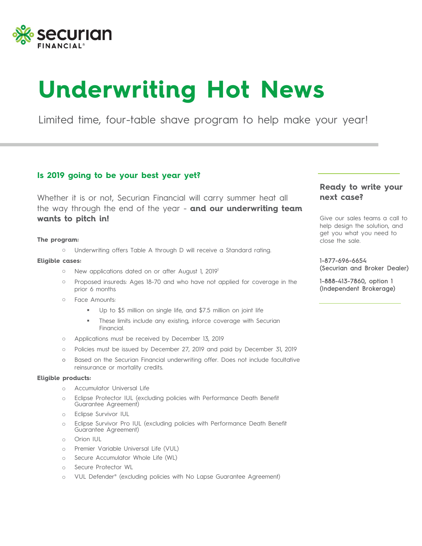

# **Underwriting Hot News**

Limited time, four-table shave program to help make your year!

### **Is 2019 going to be your best year yet?**

Whether it is or not, Securian Financial will carry summer heat all the way through the end of the year - **and our underwriting team wants to pitch in!**

#### **The program:**

o Underwriting offers Table A through D will receive a Standard rating.

#### **Eligible cases:**

- o New applications dated on or after August 1, 2019<sup>1</sup>
- o Proposed insureds: Ages 18-70 and who have not applied for coverage in the prior 6 months
- o Face Amounts:
	- Up to \$5 million on single life, and \$7.5 million on joint life
	- **These limits include any existing, inforce coverage with Securian** Financial.
- o Applications must be received by December 13, 2019
- o Policies must be issued by December 27, 2019 and paid by December 31, 2019
- o Based on the Securian Financial underwriting offer. Does not include facultative reinsurance or mortality credits.

#### **Eligible products:**

- o Accumulator Universal Life
- Eclipse Protector IUL (excluding policies with Performance Death Benefit Guarantee Agreement)
- o Eclipse Survivor IUL
- o Eclipse Survivor Pro IUL (excluding policies with Performance Death Benefit Guarantee Agreement)
- o Orion IUL
- o Premier Variable Universal Life (VUL)
- o Secure Accumulator Whole Life (WL)
- o Secure Protector WL
- o VUL Defender® (excluding policies with No Lapse Guarantee Agreement)

## **Ready to write your next case?**

Give our sales teams a call to help design the solution, and get you what you need to close the sale.

#### 1-877-696-6654 (Securian and Broker Dealer)

1-888-413-7860, option 1 (Independent Brokerage)